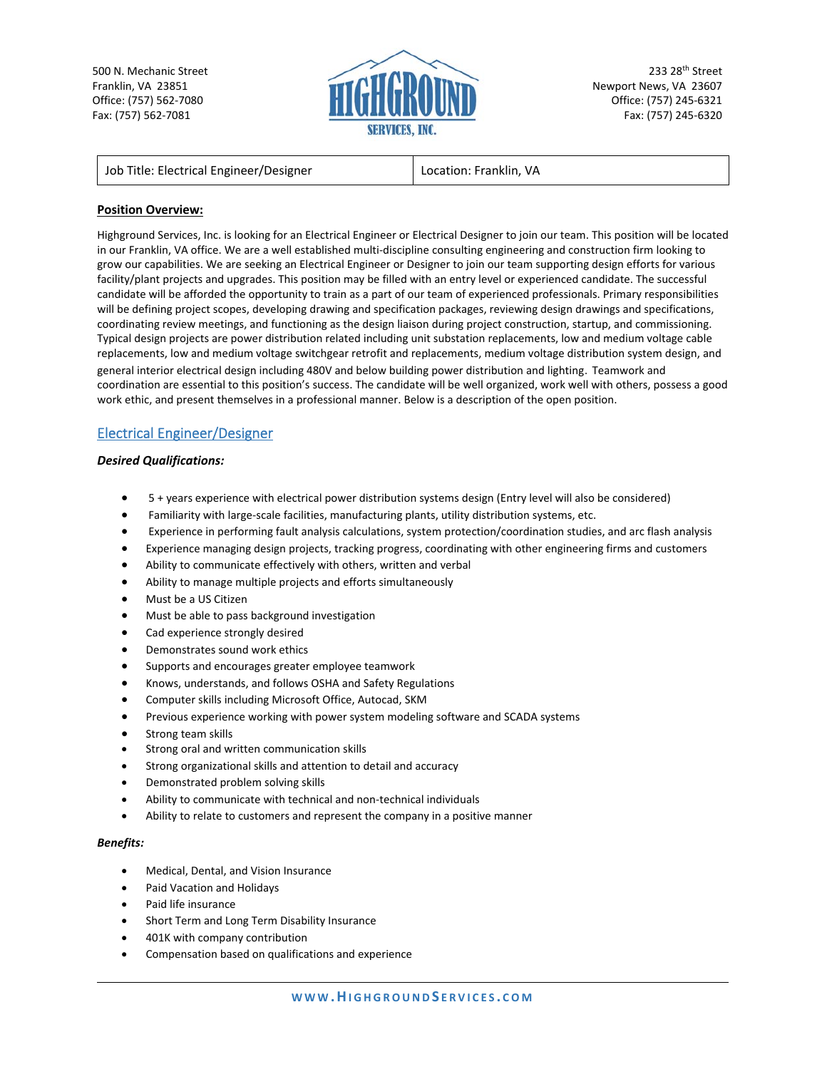500 N. Mechanic Street Franklin, VA 23851 Office: (757) 562‐7080 Fax: (757) 562‐7081



233 28th Street Newport News, VA 23607 Office: (757) 245‐6321 Fax: (757) 245‐6320

## **Position Overview:**

Highground Services, Inc. is looking for an Electrical Engineer or Electrical Designer to join our team. This position will be located in our Franklin, VA office. We are a well established multi‐discipline consulting engineering and construction firm looking to grow our capabilities. We are seeking an Electrical Engineer or Designer to join our team supporting design efforts for various facility/plant projects and upgrades. This position may be filled with an entry level or experienced candidate. The successful candidate will be afforded the opportunity to train as a part of our team of experienced professionals. Primary responsibilities will be defining project scopes, developing drawing and specification packages, reviewing design drawings and specifications, coordinating review meetings, and functioning as the design liaison during project construction, startup, and commissioning. Typical design projects are power distribution related including unit substation replacements, low and medium voltage cable replacements, low and medium voltage switchgear retrofit and replacements, medium voltage distribution system design, and general interior electrical design including 480V and below building power distribution and lighting. Teamwork and coordination are essential to this position's success. The candidate will be well organized, work well with others, possess a good work ethic, and present themselves in a professional manner. Below is a description of the open position.

# Electrical Engineer/Designer

### *Desired Qualifications:*

- 5 + years experience with electrical power distribution systems design (Entry level will also be considered)
- Familiarity with large-scale facilities, manufacturing plants, utility distribution systems, etc.
- Experience in performing fault analysis calculations, system protection/coordination studies, and arc flash analysis
- Experience managing design projects, tracking progress, coordinating with other engineering firms and customers
- Ability to communicate effectively with others, written and verbal
- Ability to manage multiple projects and efforts simultaneously
- Must be a US Citizen
- Must be able to pass background investigation
- Cad experience strongly desired
- Demonstrates sound work ethics
- Supports and encourages greater employee teamwork
- Knows, understands, and follows OSHA and Safety Regulations
- Computer skills including Microsoft Office, Autocad, SKM
- Previous experience working with power system modeling software and SCADA systems
- Strong team skills
- Strong oral and written communication skills
- Strong organizational skills and attention to detail and accuracy
- Demonstrated problem solving skills
- Ability to communicate with technical and non‐technical individuals
- Ability to relate to customers and represent the company in a positive manner

#### *Benefits:*

- Medical, Dental, and Vision Insurance
- Paid Vacation and Holidays
- Paid life insurance
- Short Term and Long Term Disability Insurance
- 401K with company contribution
- Compensation based on qualifications and experience